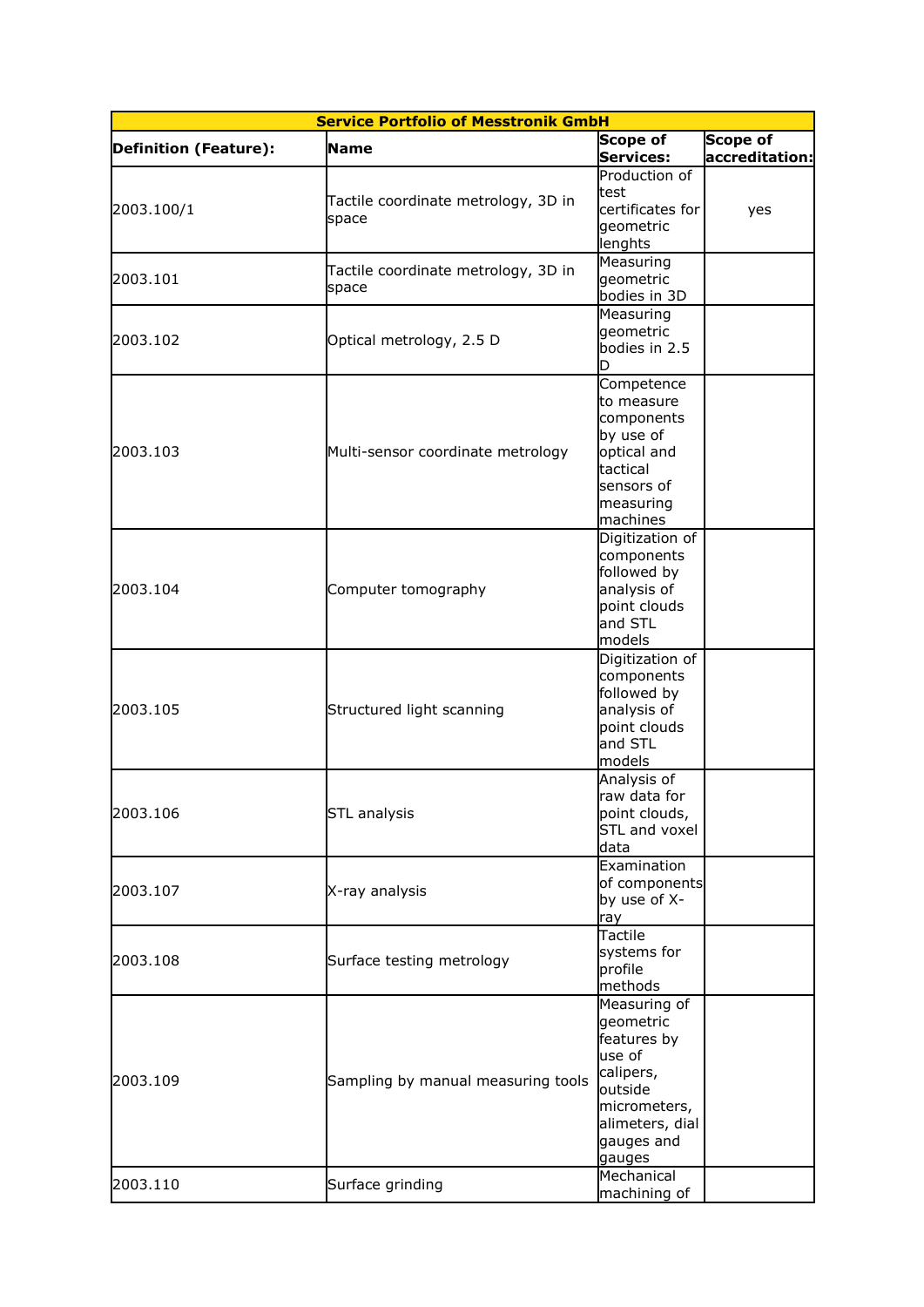| <b>Service Portfolio of Messtronik GmbH</b> |                                              |                                                                                                                                                     |                            |  |  |
|---------------------------------------------|----------------------------------------------|-----------------------------------------------------------------------------------------------------------------------------------------------------|----------------------------|--|--|
| Definition (Feature):                       | <b>Name</b>                                  | <b>Scope of</b><br><b>Services:</b>                                                                                                                 | Scope of<br>accreditation: |  |  |
| 2003.100/1                                  | Tactile coordinate metrology, 3D in<br>space | Production of<br>test<br>certificates for<br>geometric<br>lenghts                                                                                   | yes                        |  |  |
| 2003.101                                    | Tactile coordinate metrology, 3D in<br>space | Measuring<br>geometric<br>bodies in 3D                                                                                                              |                            |  |  |
| 2003.102                                    | Optical metrology, 2.5 D                     | Measuring<br>geometric<br>bodies in 2.5                                                                                                             |                            |  |  |
| 2003.103                                    | Multi-sensor coordinate metrology            | Competence<br>to measure<br>components<br>by use of<br>optical and<br>tactical<br>sensors of<br>measuring<br>machines                               |                            |  |  |
| 2003.104                                    | Computer tomography                          | Digitization of<br>components<br>followed by<br>analysis of<br>point clouds<br>and STL<br>models                                                    |                            |  |  |
| 2003.105                                    | Structured light scanning                    | Digitization of<br>components<br>followed by<br>analysis of<br>point clouds<br>and STL<br>models                                                    |                            |  |  |
| 2003.106                                    | <b>STL</b> analysis                          | Analysis of<br>raw data for<br>point clouds,<br><b>STL and voxel</b><br>data                                                                        |                            |  |  |
| 2003.107                                    | X-ray analysis                               | Examination<br>of components<br>by use of X-<br>ray                                                                                                 |                            |  |  |
| 2003.108                                    | Surface testing metrology                    | Tactile<br>systems for<br>profile<br>methods                                                                                                        |                            |  |  |
| 2003.109                                    | Sampling by manual measuring tools           | Measuring of<br>geometric<br>features by<br>use of<br>calipers,<br>outside<br>micrometers,<br>alimeters, dial<br>gauges and<br>gauges<br>Mechanical |                            |  |  |
| 2003.110                                    | Surface grinding                             | machining of                                                                                                                                        |                            |  |  |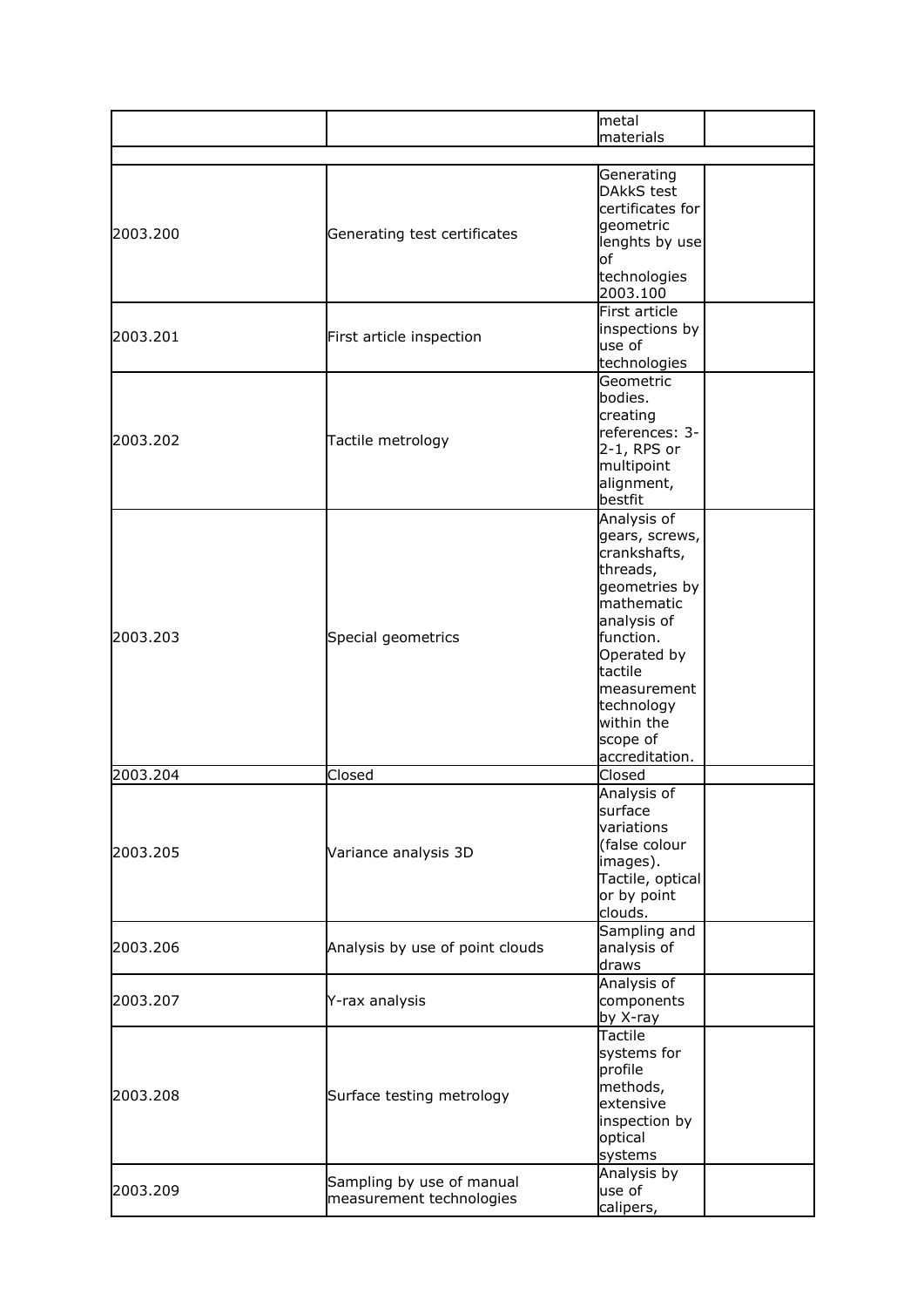|          |                                                       | metal<br>materials                                                                                                                                                                                                      |
|----------|-------------------------------------------------------|-------------------------------------------------------------------------------------------------------------------------------------------------------------------------------------------------------------------------|
|          |                                                       |                                                                                                                                                                                                                         |
| 2003.200 | Generating test certificates                          | Generating<br><b>DAkkS</b> test<br>certificates for<br>geometric<br>lenghts by use<br>lof<br>technologies<br>2003.100                                                                                                   |
| 2003.201 | First article inspection                              | First article<br>inspections by<br>use of<br>technologies                                                                                                                                                               |
| 2003.202 | Tactile metrology                                     | Geometric<br>bodies.<br>creating<br>references: 3-<br>2-1, RPS or<br>multipoint<br>alignment,<br>bestfit                                                                                                                |
| 2003.203 | Special geometrics                                    | Analysis of<br>gears, screws,<br>crankshafts,<br>threads,<br>geometries by<br>mathematic<br>analysis of<br>function.<br>Operated by<br>tactile<br>measurement<br>technology<br>within the<br>scope of<br>accreditation. |
| 2003.204 | Closed                                                | Closed                                                                                                                                                                                                                  |
| 2003.205 | Variance analysis 3D                                  | Analysis of<br>surface<br>variations<br>(false colour<br>images).<br>Tactile, optical<br>or by point<br>clouds.                                                                                                         |
| 2003.206 | Analysis by use of point clouds                       | Sampling and<br>analysis of<br>draws                                                                                                                                                                                    |
| 2003.207 | Y-rax analysis                                        | Analysis of<br>components<br>by X-ray                                                                                                                                                                                   |
| 2003.208 | Surface testing metrology                             | Tactile<br>systems for<br>profile<br>methods,<br>extensive<br>inspection by<br>optical<br>systems                                                                                                                       |
| 2003.209 | Sampling by use of manual<br>measurement technologies | Analysis by<br>use of<br>calipers,                                                                                                                                                                                      |